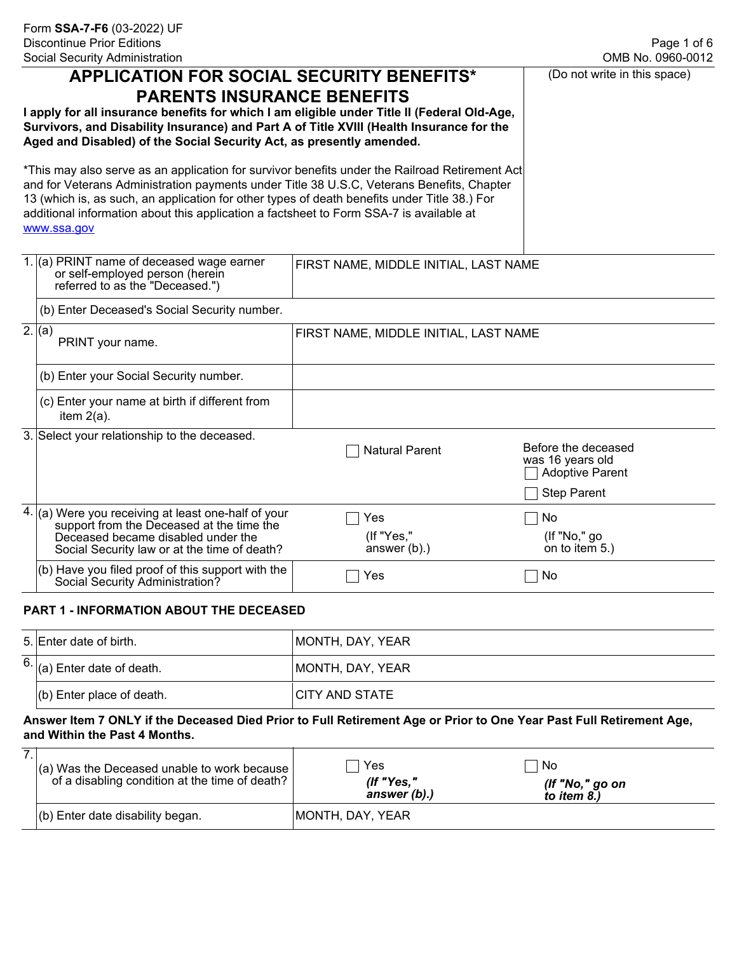(Do not write in this space)

| <b>APPLICATION FOR SOCIAL SECURITY BENEFITS*</b> |  |
|--------------------------------------------------|--|
| <b>PARENTS INSURANCE BENEFITS</b>                |  |

**I apply for all insurance benefits for which I am eligible under Title II (Federal Old-Age, Survivors, and Disability Insurance) and Part A of Title XVIII (Health Insurance for the Aged and Disabled) of the Social Security Act, as presently amended.** 

\*This may also serve as an application for survivor benefits under the Railroad Retirement Act and for Veterans Administration payments under Title 38 U.S.C, Veterans Benefits, Chapter 13 (which is, as such, an application for other types of death benefits under Title 38.) For additional information about this application a factsheet to Form SSA-7 is available at [www.ssa.gov](www.socialsecurity.gov)

| 1. (a) PRINT name of deceased wage earner<br>or self-employed person (herein<br>referred to as the "Deceased.")                                                                          | FIRST NAME, MIDDLE INITIAL, LAST NAME |                                                                                         |
|------------------------------------------------------------------------------------------------------------------------------------------------------------------------------------------|---------------------------------------|-----------------------------------------------------------------------------------------|
| (b) Enter Deceased's Social Security number.                                                                                                                                             |                                       |                                                                                         |
| 2.  (a) <br>PRINT your name.                                                                                                                                                             | FIRST NAME, MIDDLE INITIAL, LAST NAME |                                                                                         |
| (b) Enter your Social Security number.                                                                                                                                                   |                                       |                                                                                         |
| (c) Enter your name at birth if different from<br>item $2(a)$ .                                                                                                                          |                                       |                                                                                         |
| 3. Select your relationship to the deceased.                                                                                                                                             | <b>Natural Parent</b>                 | Before the deceased<br>was 16 years old<br><b>Adoptive Parent</b><br><b>Step Parent</b> |
| $4.$ (a) Were you receiving at least one-half of your<br>support from the Deceased at the time the<br>Deceased became disabled under the<br>Social Security law or at the time of death? | Yes<br>(If "Yes,"<br>answer $(b)$ .)  | No<br>$($ If "No," go<br>on to item 5.)                                                 |
| (b) Have you filed proof of this support with the<br>Social Security Administration?                                                                                                     | Yes                                   | No                                                                                      |
|                                                                                                                                                                                          |                                       |                                                                                         |

## **PART 1 - INFORMATION ABOUT THE DECEASED**

| 5. Enter date of birth.                           | MONTH, DAY, YEAR |
|---------------------------------------------------|------------------|
| $\left  \frac{6}{a} \right $ Enter date of death. | MONTH, DAY, YEAR |
| $(b)$ Enter place of death.                       | ICITY AND STATE  |

## **Answer Item 7 ONLY if the Deceased Died Prior to Full Retirement Age or Prior to One Year Past Full Retirement Age, and Within the Past 4 Months.**

| ⇁ | $\vert$ (a) Was the Deceased unable to work because $\vert$<br>of a disabling condition at the time of death? $ $ | Yes<br>(If "Yes,"<br>answer (b).) | ⊥ No<br>(If "No," go on<br>to item $8.$ ) |
|---|-------------------------------------------------------------------------------------------------------------------|-----------------------------------|-------------------------------------------|
|   | $ $ (b) Enter date disability began.                                                                              | MONTH, DAY, YEAR                  |                                           |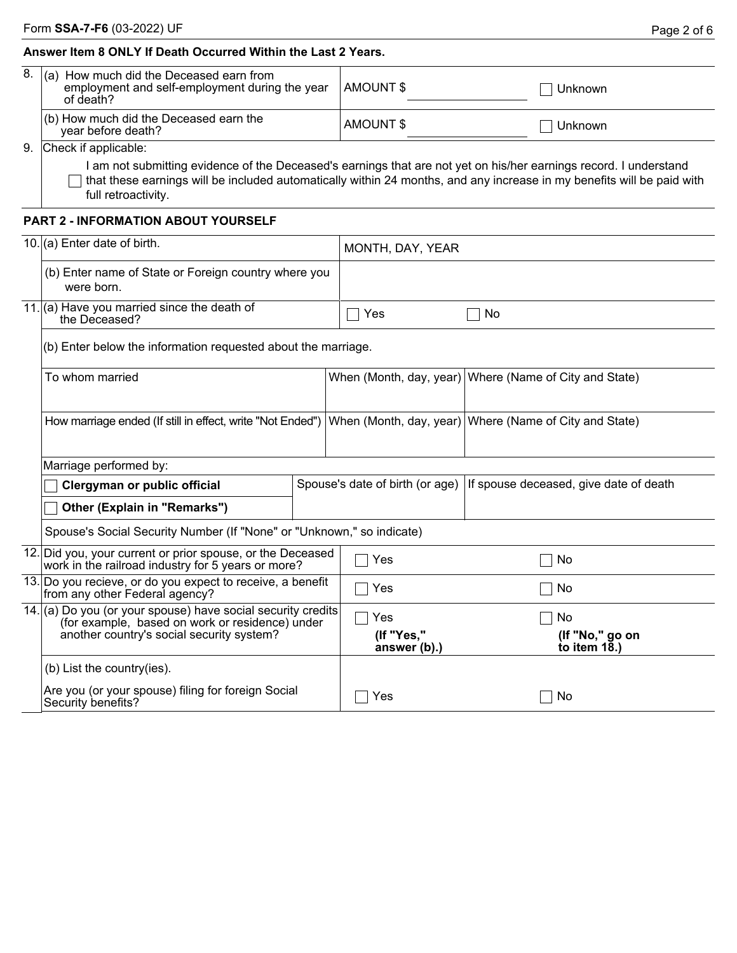## **Answer Item 8 ONLY If Death Occurred Within the Last 2 Years.**

| 8.  (a)<br>How much did the Deceased earn from<br>employment and self-employment during the year<br>of death? | AMOUNT \$ | Unknown |
|---------------------------------------------------------------------------------------------------------------|-----------|---------|
| $\vert$ (b) How much did the Deceased earn the<br>year before death?                                          | AMOUNT \$ | Unknown |

9. Check if applicable:

I am not submitting evidence of the Deceased's earnings that are not yet on his/her earnings record. I understand  $\Box$  that these earnings will be included automatically within 24 months, and any increase in my benefits will be paid with full retroactivity.

## **PART 2 - INFORMATION ABOUT YOURSELF**

|                                                                                              | 10. (a) Enter date of birth.                                                                                                                                 |     | MONTH, DAY, YEAR                |                                                        |  |  |  |  |
|----------------------------------------------------------------------------------------------|--------------------------------------------------------------------------------------------------------------------------------------------------------------|-----|---------------------------------|--------------------------------------------------------|--|--|--|--|
|                                                                                              | (b) Enter name of State or Foreign country where you<br>were born.                                                                                           |     |                                 |                                                        |  |  |  |  |
|                                                                                              | 11. (a) Have you married since the death of<br>the Deceased?                                                                                                 |     | Yes                             | No                                                     |  |  |  |  |
|                                                                                              | (b) Enter below the information requested about the marriage.                                                                                                |     |                                 |                                                        |  |  |  |  |
|                                                                                              | To whom married                                                                                                                                              |     |                                 | When (Month, day, year) Where (Name of City and State) |  |  |  |  |
|                                                                                              | How marriage ended (If still in effect, write "Not Ended")                                                                                                   |     |                                 | When (Month, day, year) Where (Name of City and State) |  |  |  |  |
|                                                                                              | Marriage performed by:                                                                                                                                       |     |                                 |                                                        |  |  |  |  |
|                                                                                              | Clergyman or public official                                                                                                                                 |     | Spouse's date of birth (or age) | If spouse deceased, give date of death                 |  |  |  |  |
|                                                                                              | Other (Explain in "Remarks")                                                                                                                                 |     |                                 |                                                        |  |  |  |  |
|                                                                                              | Spouse's Social Security Number (If "None" or "Unknown," so indicate)                                                                                        |     |                                 |                                                        |  |  |  |  |
|                                                                                              | 12. Did you, your current or prior spouse, or the Deceased<br>work in the railroad industry for 5 years or more?                                             |     | Yes                             | No                                                     |  |  |  |  |
| 13. Do you recieve, or do you expect to receive, a benefit<br>from any other Federal agency? |                                                                                                                                                              | Yes | No                              |                                                        |  |  |  |  |
|                                                                                              | 14. (a) Do you (or your spouse) have social security credits<br>(for example, based on work or residence) under<br>another country's social security system? |     | Yes                             | No                                                     |  |  |  |  |
|                                                                                              |                                                                                                                                                              |     | (If "Yes,"<br>answer (b).)      | (If "No," go on<br>to item $18.$ )                     |  |  |  |  |
|                                                                                              | (b) List the country(ies).                                                                                                                                   |     |                                 |                                                        |  |  |  |  |
|                                                                                              | Are you (or your spouse) filing for foreign Social<br>Security benefits?                                                                                     |     | Yes                             | No                                                     |  |  |  |  |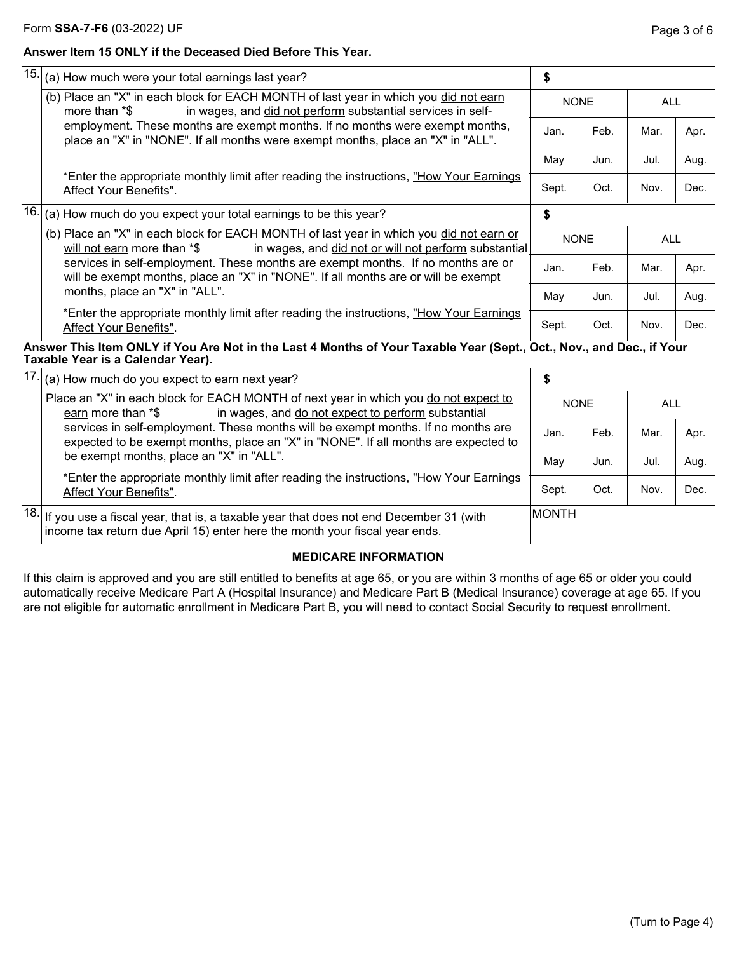## **Answer Item 15 ONLY if the Deceased Died Before This Year.**

|  | $15.$ (a) How much were your total earnings last year?                                                                                                                              | \$          |      |            |      |
|--|-------------------------------------------------------------------------------------------------------------------------------------------------------------------------------------|-------------|------|------------|------|
|  | (b) Place an "X" in each block for EACH MONTH of last year in which you did not earn<br>in wages, and did not perform substantial services in self-<br>more than *\$                | <b>NONE</b> |      | <b>ALL</b> |      |
|  | employment. These months are exempt months. If no months were exempt months,<br>place an "X" in "NONE". If all months were exempt months, place an "X" in "ALL".                    | Jan.        | Feb. | Mar.       | Apr. |
|  |                                                                                                                                                                                     | May         | Jun. | Jul.       | Aug. |
|  | *Enter the appropriate monthly limit after reading the instructions, "How Your Earnings"<br>Affect Your Benefits".                                                                  | Sept.       | Oct. | Nov.       | Dec. |
|  | $16.$ (a) How much do you expect your total earnings to be this year?                                                                                                               | \$          |      |            |      |
|  | (b) Place an "X" in each block for EACH MONTH of last year in which you did not earn or<br>will not earn more than *\$ ______ in wages, and did not or will not perform substantial | <b>NONE</b> |      | ALL        |      |
|  | services in self-employment. These months are exempt months. If no months are or<br>will be exempt months, place an "X" in "NONE". If all months are or will be exempt              | Jan.        | Feb. | Mar.       | Apr. |
|  | months, place an "X" in "ALL".                                                                                                                                                      |             | Jun. | Jul.       | Aug. |
|  | *Enter the appropriate monthly limit after reading the instructions, "How Your Earnings"<br>Affect Your Benefits".                                                                  | Sept.       | Oct. | Nov.       | Dec. |

**Answer This Item ONLY if You Are Not in the Last 4 Months of Your Taxable Year (Sept., Oct., Nov., and Dec., if Your Taxable Year is a Calendar Year).**

| $17.$ (a) How much do you expect to earn next year?                                                                                                                                    | \$            |      |            |      |
|----------------------------------------------------------------------------------------------------------------------------------------------------------------------------------------|---------------|------|------------|------|
| Place an "X" in each block for EACH MONTH of next year in which you do not expect to<br>in wages, and do not expect to perform substantial<br>earn more than *\$                       | <b>NONE</b>   |      | <b>ALL</b> |      |
| services in self-employment. These months will be exempt months. If no months are<br>expected to be exempt months, place an "X" in "NONE". If all months are expected to               | Jan.          | Feb. | Mar.       | Apr. |
| be exempt months, place an "X" in "ALL".                                                                                                                                               | May           | Jun. | Jul.       | Aug. |
| *Enter the appropriate monthly limit after reading the instructions, "How Your Earnings"<br>Affect Your Benefits".                                                                     | Sept.         | Oct. | Nov.       | Dec. |
| $\overline{18}$ . If you use a fiscal year, that is, a taxable year that does not end December 31 (with<br>income tax return due April 15) enter here the month your fiscal year ends. | <b>IMONTH</b> |      |            |      |

## **MEDICARE INFORMATION**

If this claim is approved and you are still entitled to benefits at age 65, or you are within 3 months of age 65 or older you could automatically receive Medicare Part A (Hospital Insurance) and Medicare Part B (Medical Insurance) coverage at age 65. If you are not eligible for automatic enrollment in Medicare Part B, you will need to contact Social Security to request enrollment.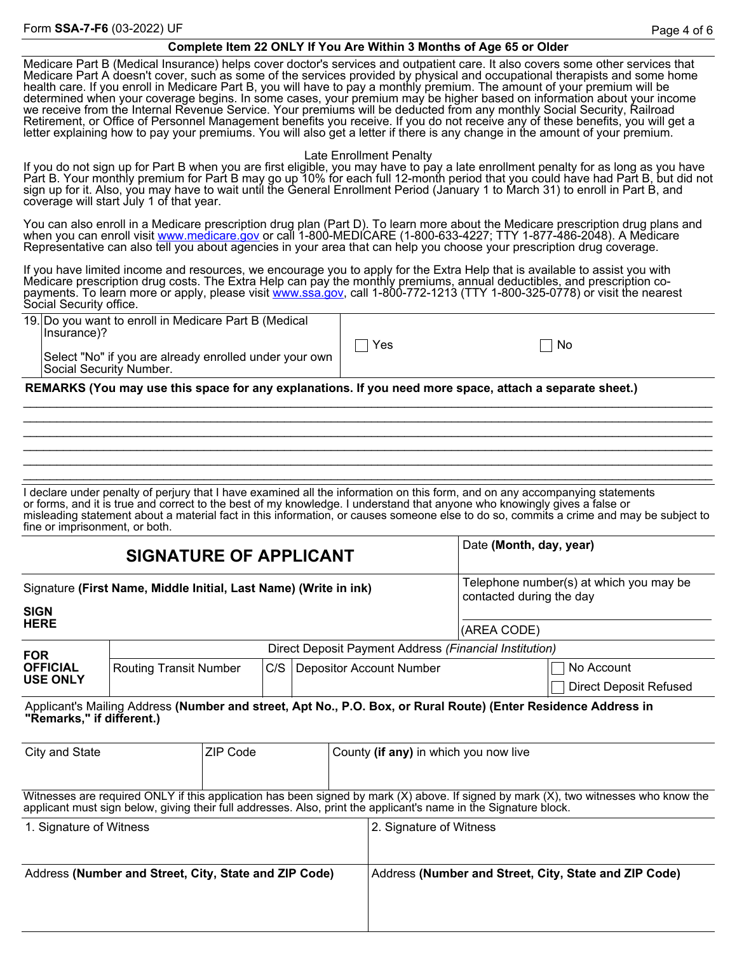### **Complete Item 22 ONLY If You Are Within 3 Months of Age 65 or Older**

Medicare Part B (Medical Insurance) helps cover doctor's services and outpatient care. It also covers some other services that Medicare Part A doesn't cover, such as some of the services provided by physical and occupational therapists and some home health care. If you enroll in Medicare Part B, you will have to pay a monthly premium. The amount of your premium will be determined when your coverage begins. In some cases, your premium may be higher based on information about your income we receive from the Internal Revenue Service. Your premiums will be deducted from any monthly Social Security, Railroad Retirement, or Office of Personnel Management benefits you receive. If you do not receive any of these benefits, you will get a letter explaining how to pay your premiums. You will also get a letter if there is any change in the amount of your premium.

#### Late Enrollment Penalty

If you do not sign up for Part B when you are first eligible, you may have to pay a late enrollment penalty for as long as you have Part B. Your monthly premium for Part B may go up 10% for each full 12-month period that you could have had Part B, but did not sign up for it. Also, you may have to wait until the General Enrollment Period (January 1 to March 31) to enroll in Part B, and coverage will start July 1 of that year.

You can also enroll in a Medicare prescription drug plan (Part D). To learn more about the Medicare prescription drug plans and when you can enroll visit <u>www.medicare.gov</u> or call 1-800-MEDICARE (1-800-633-4227; TTY 1-877-486-2048). A Medicare Representative can also tell you about agencies in your area that can help you choose your prescription drug coverage.

If you have limited income and resources, we encourage you to apply for the Extra Help that is available to assist you with Medicare prescription drug costs. The Extra Help can pay the monthly premiums, annual deductibles, and prescription copayments. To learn more or apply, please visit <u>www.ssa.gov</u>, call 1-800-772-1213 (TTY 1-800-325-0778) or visit the nearest Social Security office.

19. Do you want to enroll in Medicare Part B (Medical Insurance)? Select "No" if you are already enrolled under your own

Social Security Number.

||Yes ||No

**REMARKS (You may use this space for any explanations. If you need more space, attach a separate sheet.)**

I declare under penalty of perjury that I have examined all the information on this form, and on any accompanying statements or forms, and it is true and correct to the best of my knowledge. I understand that anyone who knowingly gives a false or misleading statement about a material fact in this information, or causes someone else to do so, commits a crime and may be subject to fine or imprisonment, or both.

\_\_\_\_\_\_\_\_\_\_\_\_\_\_\_\_\_\_\_\_\_\_\_\_\_\_\_\_\_\_\_\_\_\_\_\_\_\_\_\_\_\_\_\_\_\_\_\_\_\_\_\_\_\_\_\_\_\_\_\_\_\_\_\_\_\_\_\_\_\_\_\_\_\_\_\_\_\_\_\_\_\_\_\_\_\_\_\_\_\_\_\_\_\_\_\_\_\_\_\_\_\_\_ \_\_\_\_\_\_\_\_\_\_\_\_\_\_\_\_\_\_\_\_\_\_\_\_\_\_\_\_\_\_\_\_\_\_\_\_\_\_\_\_\_\_\_\_\_\_\_\_\_\_\_\_\_\_\_\_\_\_\_\_\_\_\_\_\_\_\_\_\_\_\_\_\_\_\_\_\_\_\_\_\_\_\_\_\_\_\_\_\_\_\_\_\_\_\_\_\_\_\_\_\_\_\_ \_\_\_\_\_\_\_\_\_\_\_\_\_\_\_\_\_\_\_\_\_\_\_\_\_\_\_\_\_\_\_\_\_\_\_\_\_\_\_\_\_\_\_\_\_\_\_\_\_\_\_\_\_\_\_\_\_\_\_\_\_\_\_\_\_\_\_\_\_\_\_\_\_\_\_\_\_\_\_\_\_\_\_\_\_\_\_\_\_\_\_\_\_\_\_\_\_\_\_\_\_\_\_ \_\_\_\_\_\_\_\_\_\_\_\_\_\_\_\_\_\_\_\_\_\_\_\_\_\_\_\_\_\_\_\_\_\_\_\_\_\_\_\_\_\_\_\_\_\_\_\_\_\_\_\_\_\_\_\_\_\_\_\_\_\_\_\_\_\_\_\_\_\_\_\_\_\_\_\_\_\_\_\_\_\_\_\_\_\_\_\_\_\_\_\_\_\_\_\_\_\_\_\_\_\_\_ \_\_\_\_\_\_\_\_\_\_\_\_\_\_\_\_\_\_\_\_\_\_\_\_\_\_\_\_\_\_\_\_\_\_\_\_\_\_\_\_\_\_\_\_\_\_\_\_\_\_\_\_\_\_\_\_\_\_\_\_\_\_\_\_\_\_\_\_\_\_\_\_\_\_\_\_\_\_\_\_\_\_\_\_\_\_\_\_\_\_\_\_\_\_\_\_\_\_\_\_\_\_\_ \_\_\_\_\_\_\_\_\_\_\_\_\_\_\_\_\_\_\_\_\_\_\_\_\_\_\_\_\_\_\_\_\_\_\_\_\_\_\_\_\_\_\_\_\_\_\_\_\_\_\_\_\_\_\_\_\_\_\_\_\_\_\_\_\_\_\_\_\_\_\_\_\_\_\_\_\_\_\_\_\_\_\_\_\_\_\_\_\_\_\_\_\_\_\_\_\_\_\_\_\_\_\_

|                                                                                                | <b>SIGNATURE OF APPLICANT</b>                         |  |                                       |  |                                                                                                                  | Date (Month, day, year)                                             |                                                                                                                                           |
|------------------------------------------------------------------------------------------------|-------------------------------------------------------|--|---------------------------------------|--|------------------------------------------------------------------------------------------------------------------|---------------------------------------------------------------------|-------------------------------------------------------------------------------------------------------------------------------------------|
| Signature (First Name, Middle Initial, Last Name) (Write in ink)<br><b>SIGN</b><br><b>HERE</b> |                                                       |  |                                       |  |                                                                                                                  | Telephone number(s) at which you may be<br>contacted during the day |                                                                                                                                           |
|                                                                                                |                                                       |  |                                       |  |                                                                                                                  | (AREA CODE)                                                         |                                                                                                                                           |
| <b>FOR</b>                                                                                     |                                                       |  |                                       |  | Direct Deposit Payment Address (Financial Institution)                                                           |                                                                     |                                                                                                                                           |
| <b>OFFICIAL</b>                                                                                | <b>Routing Transit Number</b>                         |  | C/S                                   |  | <b>Depositor Account Number</b>                                                                                  |                                                                     | No Account                                                                                                                                |
| <b>USE ONLY</b>                                                                                |                                                       |  |                                       |  |                                                                                                                  |                                                                     | <b>Direct Deposit Refused</b>                                                                                                             |
| "Remarks," if different.)                                                                      |                                                       |  |                                       |  |                                                                                                                  |                                                                     | Applicant's Mailing Address (Number and street, Apt No., P.O. Box, or Rural Route) (Enter Residence Address in                            |
| ZIP Code<br>City and State                                                                     |                                                       |  | County (if any) in which you now live |  |                                                                                                                  |                                                                     |                                                                                                                                           |
|                                                                                                |                                                       |  |                                       |  | applicant must sign below, giving their full addresses. Also, print the applicant's name in the Signature block. |                                                                     | Witnesses are required ONLY if this application has been signed by mark $(X)$ above. If signed by mark $(X)$ , two witnesses who know the |
| 1. Signature of Witness                                                                        |                                                       |  |                                       |  | 2. Signature of Witness                                                                                          |                                                                     |                                                                                                                                           |
|                                                                                                | Address (Number and Street, City, State and ZIP Code) |  |                                       |  |                                                                                                                  |                                                                     | Address (Number and Street, City, State and ZIP Code)                                                                                     |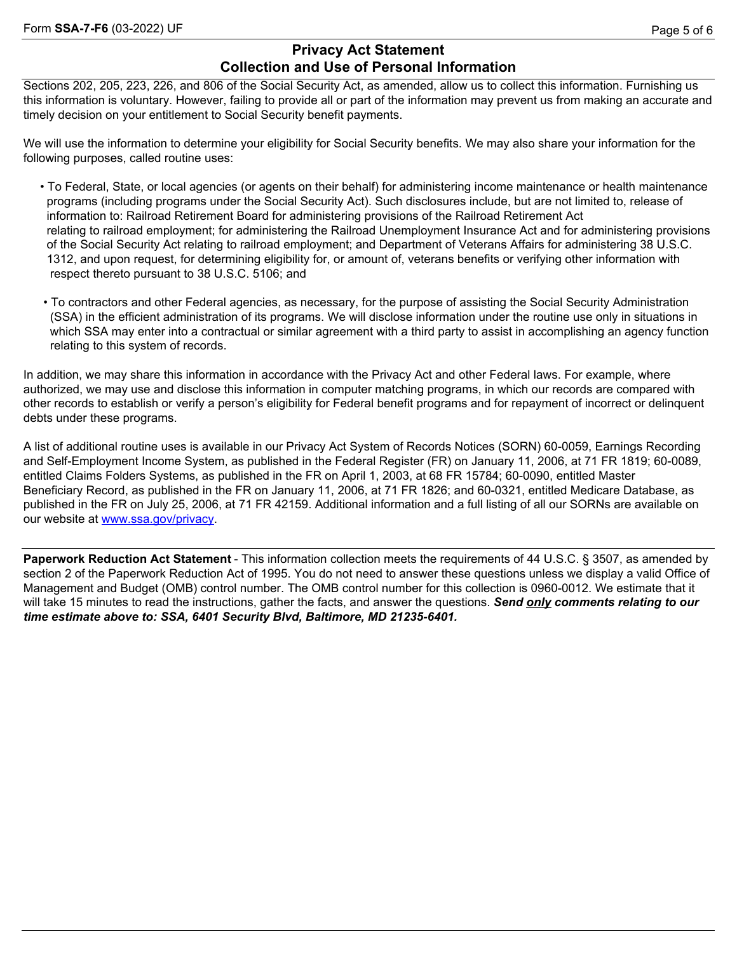# **Privacy Act Statement Collection and Use of Personal Information**

Sections 202, 205, 223, 226, and 806 of the Social Security Act, as amended, allow us to collect this information. Furnishing us this information is voluntary. However, failing to provide all or part of the information may prevent us from making an accurate and timely decision on your entitlement to Social Security benefit payments.

We will use the information to determine your eligibility for Social Security benefits. We may also share your information for the following purposes, called routine uses:

- To Federal, State, or local agencies (or agents on their behalf) for administering income maintenance or health maintenance programs (including programs under the Social Security Act). Such disclosures include, but are not limited to, release of information to: Railroad Retirement Board for administering provisions of the Railroad Retirement Act relating to railroad employment; for administering the Railroad Unemployment Insurance Act and for administering provisions of the Social Security Act relating to railroad employment; and Department of Veterans Affairs for administering 38 U.S.C. 1312, and upon request, for determining eligibility for, or amount of, veterans benefits or verifying other information with respect thereto pursuant to 38 U.S.C. 5106; and
- To contractors and other Federal agencies, as necessary, for the purpose of assisting the Social Security Administration (SSA) in the efficient administration of its programs. We will disclose information under the routine use only in situations in which SSA may enter into a contractual or similar agreement with a third party to assist in accomplishing an agency function relating to this system of records.

In addition, we may share this information in accordance with the Privacy Act and other Federal laws. For example, where authorized, we may use and disclose this information in computer matching programs, in which our records are compared with other records to establish or verify a person's eligibility for Federal benefit programs and for repayment of incorrect or delinquent debts under these programs.

A list of additional routine uses is available in our Privacy Act System of Records Notices (SORN) 60-0059, Earnings Recording and Self-Employment Income System, as published in the Federal Register (FR) on January 11, 2006, at 71 FR 1819; 60-0089, entitled Claims Folders Systems, as published in the FR on April 1, 2003, at 68 FR 15784; 60-0090, entitled Master Beneficiary Record, as published in the FR on January 11, 2006, at 71 FR 1826; and 60-0321, entitled Medicare Database, as published in the FR on July 25, 2006, at 71 FR 42159. Additional information and a full listing of all our SORNs are available on our website at [www.ssa.gov/privacy.](www.ssa.gov/privacy)

**Paperwork Reduction Act Statement** - This information collection meets the requirements of 44 U.S.C. § 3507, as amended by section 2 of the Paperwork Reduction Act of 1995. You do not need to answer these questions unless we display a valid Office of Management and Budget (OMB) control number. The OMB control number for this collection is 0960-0012. We estimate that it will take 15 minutes to read the instructions, gather the facts, and answer the questions. *Send only comments relating to our time estimate above to: SSA, 6401 Security Blvd, Baltimore, MD 21235-6401.*